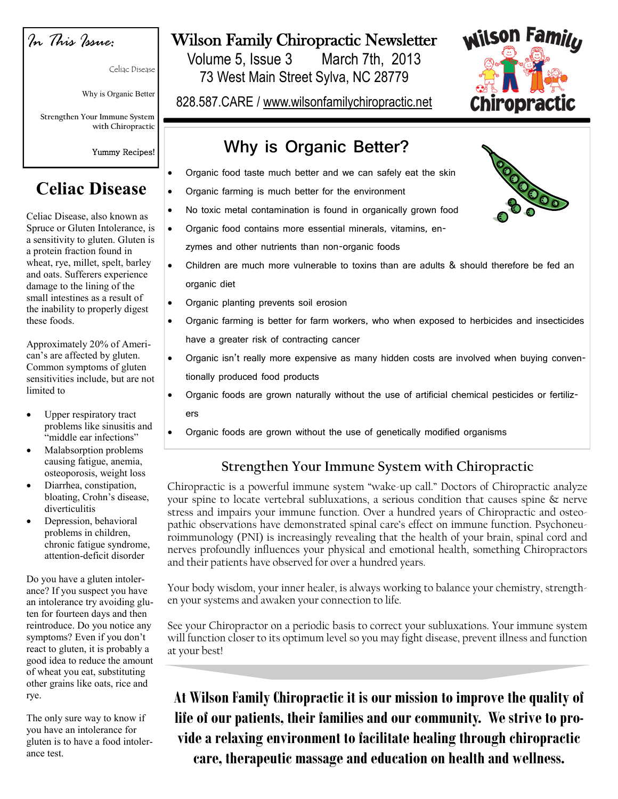

Celiac Disease

Why is Organic Better

**Strengthen Your Immune System with Chiropractic**

Yummy Recipes!

# **Celiac Disease**

Celiac Disease, also known as Spruce or Gluten Intolerance, is a sensitivity to gluten. Gluten is a protein fraction found in wheat, rye, millet, spelt, barley and oats. Sufferers experience damage to the lining of the small intestines as a result of the inability to properly digest these foods.

Approximately 20% of American's are affected by gluten. Common symptoms of gluten sensitivities include, but are not limited to

- Upper respiratory tract problems like sinusitis and "middle ear infections"
- Malabsorption problems causing fatigue, anemia, osteoporosis, weight loss
- Diarrhea, constipation, bloating, Crohn's disease, diverticulitis
- Depression, behavioral problems in children, chronic fatigue syndrome, attention-deficit disorder

Do you have a gluten intolerance? If you suspect you have an intolerance try avoiding gluten for fourteen days and then reintroduce. Do you notice any symptoms? Even if you don't react to gluten, it is probably a good idea to reduce the amount of wheat you eat, substituting other grains like oats, rice and rye.

The only sure way to know if you have an intolerance for gluten is to have a food intolerance test.

# Wilson Family Chiropractic Newsletter

Volume 5, Issue 3 March 7th, 2013 73 West Main Street Sylva, NC 28779

828.587.CARE / www.wilsonfamilychiropractic.net

## **Why is Organic Better?**

- Organic food taste much better and we can safely eat the skin
- Organic farming is much better for the environment
- No toxic metal contamination is found in organically grown food
- Organic food contains more essential minerals, vitamins, en
	- zymes and other nutrients than non-organic foods
- Children are much more vulnerable to toxins than are adults & should therefore be fed an organic diet
- Organic planting prevents soil erosion
- Organic farming is better for farm workers, who when exposed to herbicides and insecticides have a greater risk of contracting cancer
- Organic isn't really more expensive as many hidden costs are involved when buying conventionally produced food products
	- Organic foods are grown naturally without the use of artificial chemical pesticides or fertilizers
- Organic foods are grown without the use of genetically modified organisms

## **Strengthen Your Immune System with Chiropractic**

Chiropractic is a powerful immune system "wake-up call." Doctors of Chiropractic analyze your spine to locate vertebral subluxations, a serious condition that causes spine & nerve stress and impairs your immune function. Over a hundred years of Chiropractic and osteopathic observations have demonstrated spinal care's effect on immune function. Psychoneuroimmunology (PNI) is increasingly revealing that the health of your brain, spinal cord and nerves profoundly influences your physical and emotional health, something Chiropractors and their patients have observed for over a hundred years.

Your body wisdom, your inner healer, is always working to balance your chemistry, strengthen your systems and awaken your connection to life.

See your Chiropractor on a periodic basis to correct your subluxations. Your immune system will function closer to its optimum level so you may fight disease, prevent illness and function at your best!

**At Wilson Family Chiropractic it is our mission to improve the quality of life of our patients, their families and our community. We strive to provide a relaxing environment to facilitate healing through chiropractic care, therapeutic massage and education on health and wellness.**